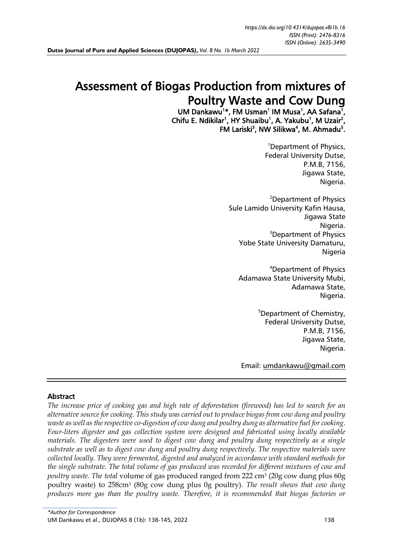# Assessment of Biogas Production from mixtures of Poultry Waste and Cow Dung

UM Dankawu<sup>1\*</sup>, FM Usman<sup>1</sup> IM Musa<sup>1</sup>, AA Safana<sup>1</sup>, Chifu E. Ndikilar<sup>1</sup>, HY Shuaibu<sup>1</sup>, A. Yakubu<sup>1</sup>, M Uzair<sup>2</sup>, FM Lariski<sup>3</sup>, NW Silikwa<sup>4</sup>, M. Ahmadu<sup>5</sup>.

> <sup>1</sup>Department of Physics, Federal University Dutse, P.M.B, 7156, Jigawa State, Nigeria.

<sup>2</sup>Department of Physics Sule Lamido University Kafin Hausa, Jigawa State Nigeria. <sup>3</sup>Department of Physics Yobe State University Damaturu, Nigeria

<sup>4</sup>Department of Physics Adamawa State University Mubi, Adamawa State, Nigeria.

> <sup>5</sup>Department of Chemistry, Federal University Dutse, P.M.B, 7156, Jigawa State, Nigeria.

Email: [umdankawu@gmail.com](mailto:umdankawu@gmail.com)

### Abstract

*The increase price of cooking gas and high rate of deforestation (firewood) has led to search for an alternative source for cooking. This study was carried out to produce biogas from cow dung and poultry waste as well as the respective co-digestion of cow dung and poultry dung as alternative fuel for cooking. Four-liters digester and gas collection system were designed and fabricated using locally available materials. The digesters were used to digest cow dung and poultry dung respectively as a single substrate as well as to digest cow dung and poultry dung respectively. The respective materials were collected locally. They were fermented, digested and analyzed in accordance with standard methods for the single substrate. The total volume of gas produced was recorded for different mixtures of cow and poultry waste. The total* volume of gas produced ranged from 222 cm<sup>3</sup> (20g cow dung plus 60g poultry waste) to 258cm<sup>3</sup> (80g cow dung plus 0g poultry). *The result shows that cow dung produces more gas than the poultry waste. Therefore, it is recommended that biogas factories or*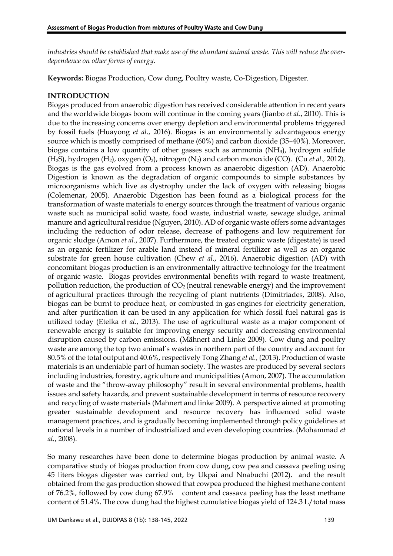*industries should be established that make use of the abundant animal waste. This will reduce the overdependence on other forms of energy.*

**Keywords:** Biogas Production, Cow dung, Poultry waste, Co-Digestion, Digester.

# **INTRODUCTION**

Biogas produced from anaerobic digestion has received considerable attention in recent years and the worldwide biogas boom will continue in the coming years (Jianbo *et al*., 2010). This is due to the increasing concerns over energy depletion and environmental problems triggered by fossil fuels (Huayong *et al.*, 2016). Biogas is an environmentally advantageous energy source which is mostly comprised of methane (60%) and carbon dioxide (35–40%). Moreover, biogas contains a low quantity of other gasses such as ammonia (NH3), hydrogen sulfide (H2S), hydrogen (H2), oxygen (O2), nitrogen (N2) and carbon monoxide (CO). (Cu *et al.,* 2012). Biogas is the gas evolved from a process known as anaerobic digestion (AD). Anaerobic Digestion is known as the degradation of organic compounds to simple substances by microorganisms which live as dystrophy under the lack of oxygen with releasing biogas (Colemenar, 2005). Anaerobic Digestion has been found as a biological process for the transformation of waste materials to energy sources through the treatment of various organic waste such as municipal solid waste, food waste, industrial waste, sewage sludge, animal manure and agricultural residue (Nguyen, 2010). AD of organic waste offers some advantages including the reduction of odor release, decrease of pathogens and low requirement for organic sludge (Amon *et al*., 2007). Furthermore, the treated organic waste (digestate) is used as an organic fertilizer for arable land instead of mineral fertilizer as well as an organic substrate for green house cultivation (Chew *et al.*, 2016). Anaerobic digestion (AD) with concomitant biogas production is an environmentally attractive technology for the treatment of organic waste. Biogas provides environmental benefits with regard to waste treatment, pollution reduction, the production of  $CO<sub>2</sub>$  (neutral renewable energy) and the improvement of agricultural practices through the recycling of plant nutrients (Dimitriades, 2008). Also, biogas can be burnt to produce heat, or combusted in gas engines for electricity generation, and after purification it can be used in any application for which fossil fuel natural gas is utilized today (Etelka *et al.*, 2013). The use of agricultural waste as a major component of renewable energy is suitable for improving energy security and decreasing environmental disruption caused by carbon emissions. (Mähnert and Linke 2009). Cow dung and poultry waste are among the top two animal's wastes in northern part of the country and account for 80.5% of the total output and 40.6%, respectively Tong Zhang *et al.,* (2013). Production of waste materials is an undeniable part of human society. The wastes are produced by several sectors including industries, forestry, agriculture and municipalities (Amon, 2007). The accumulation of waste and the "throw-away philosophy" result in several environmental problems, health issues and safety hazards, and prevent sustainable development in terms of resource recovery and recycling of waste materials (Mahnert and linke 2009). A perspective aimed at promoting greater sustainable development and resource recovery has influenced solid waste management practices, and is gradually becoming implemented through policy guidelines at national levels in a number of industrialized and even developing countries. (Mohammad *et al.*, 2008).

So many researches have been done to determine biogas production by animal waste. A comparative study of biogas production from cow dung, cow pea and cassava peeling using 45 liters biogas digester was carried out, by Ukpai and Nnabuchi (2012). and the result obtained from the gas production showed that cowpea produced the highest methane content of 76.2%, followed by cow dung 67.9% content and cassava peeling has the least methane content of 51.4%. The cow dung had the highest cumulative biogas yield of 124.3 L/total mass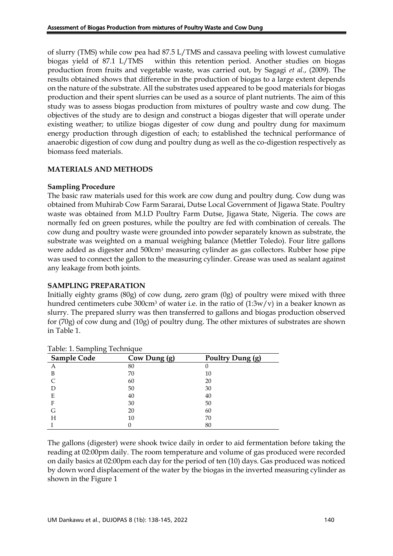of slurry (TMS) while cow pea had 87.5 L/TMS and cassava peeling with lowest cumulative biogas yield of 87.1 L/TMS within this retention period. Another studies on biogas production from fruits and vegetable waste, was carried out, by Sagagi *et al.*, (2009). The results obtained shows that difference in the production of biogas to a large extent depends on the nature of the substrate. All the substrates used appeared to be good materials for biogas production and their spent slurries can be used as a source of plant nutrients. The aim of this study was to assess biogas production from mixtures of poultry waste and cow dung. The objectives of the study are to design and construct a biogas digester that will operate under existing weather; to utilize biogas digester of cow dung and poultry dung for maximum energy production through digestion of each; to established the technical performance of anaerobic digestion of cow dung and poultry dung as well as the co-digestion respectively as biomass feed materials.

# **MATERIALS AND METHODS**

### **Sampling Procedure**

The basic raw materials used for this work are cow dung and poultry dung. Cow dung was obtained from Muhirab Cow Farm Sararai, Dutse Local Government of Jigawa State. Poultry waste was obtained from M.I.D Poultry Farm Dutse, Jigawa State, Nigeria. The cows are normally fed on green postures, while the poultry are fed with combination of cereals. The cow dung and poultry waste were grounded into powder separately known as substrate, the substrate was weighted on a manual weighing balance (Mettler Toledo). Four litre gallons were added as digester and 500cm<sup>3</sup> measuring cylinder as gas collectors. Rubber hose pipe was used to connect the gallon to the measuring cylinder. Grease was used as sealant against any leakage from both joints.

### **SAMPLING PREPARATION**

Initially eighty grams (80g) of cow dung, zero gram (0g) of poultry were mixed with three hundred centimeters cube 300cm<sup>3</sup> of water i.e. in the ratio of  $(1:3w/v)$  in a beaker known as slurry. The prepared slurry was then transferred to gallons and biogas production observed for (70g) of cow dung and (10g) of poultry dung. The other mixtures of substrates are shown in Table 1.

| Table. I. Sampling Technique |              |                  |  |  |  |
|------------------------------|--------------|------------------|--|--|--|
| <b>Sample Code</b>           | Cow Dung (g) | Poultry Dung (g) |  |  |  |
| Α                            | 80           |                  |  |  |  |
| B                            | 70           | 10               |  |  |  |
|                              | 60           | 20               |  |  |  |
|                              | 50           | 30               |  |  |  |
| E                            | 40           | 40               |  |  |  |
| F                            | 30           | 50               |  |  |  |
| G                            | 20           | 60               |  |  |  |
| Н                            | 10           | 70               |  |  |  |
|                              |              | 80               |  |  |  |

Table: 1. Sampling Technique

The gallons (digester) were shook twice daily in order to aid fermentation before taking the reading at 02:00pm daily. The room temperature and volume of gas produced were recorded on daily basics at 02:00pm each day for the period of ten (10) days. Gas produced was noticed by down word displacement of the water by the biogas in the inverted measuring cylinder as shown in the Figure 1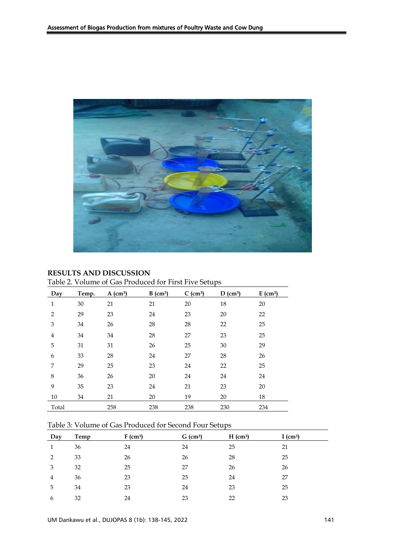

# **RESULTS AND DISCUSSION**

|  |  | Table 2. Volume of Gas Produced for First Five Setups |
|--|--|-------------------------------------------------------|
|  |  |                                                       |

| Day            | Temp. | $A$ (cm <sup>3</sup> ) | $B$ (cm <sup>3</sup> ) | $C$ (cm <sup>3</sup> ) | $D$ (cm <sup>3</sup> ) | $E$ (cm <sup>3</sup> ) |
|----------------|-------|------------------------|------------------------|------------------------|------------------------|------------------------|
| $\mathbf{1}$   | 30    | 21                     | 21                     | 20                     | 18                     | 20                     |
| $\overline{2}$ | 29    | 23                     | 24                     | 23                     | 20                     | 22                     |
| 3              | 34    | 26                     | 28                     | 28                     | 22                     | 25                     |
| $\overline{4}$ | 34    | 34                     | 28                     | 27                     | 23                     | 25                     |
| 5              | 31    | 31                     | 26                     | 25                     | 30                     | 29                     |
| 6              | 33    | 28                     | 24                     | 27                     | 28                     | 26                     |
| 7              | 29    | 25                     | 23                     | 24                     | 22                     | 25                     |
| 8              | 36    | 26                     | 20                     | 24                     | 24                     | 24                     |
| 9              | 35    | 23                     | 24                     | 21                     | 23                     | 20                     |
| 10             | 34    | 21                     | 20                     | 19                     | 20                     | 18                     |
| Total          |       | 258                    | 238                    | 238                    | 230                    | 234                    |

# Table 3: Volume of Gas Produced for Second Four Setups

| Day | Temp | $F$ (cm <sup>3</sup> ) | $G$ (cm <sup>3</sup> ) | $H$ (cm <sup>3</sup> ) | I $(cm^3)$ |
|-----|------|------------------------|------------------------|------------------------|------------|
|     | 36   | 24                     | 24                     | 25                     | 21         |
| 2   | 33   | 26                     | 26                     | 28                     | 25         |
| 3   | 32   | 25                     | 27                     | 26                     | 26         |
| 4   | 36   | 23                     | 25                     | 24                     | 27         |
| 5   | 34   | 23                     | 24                     | 23                     | 25         |
| 6   | 32   | 24                     | 23                     | 22                     | 23         |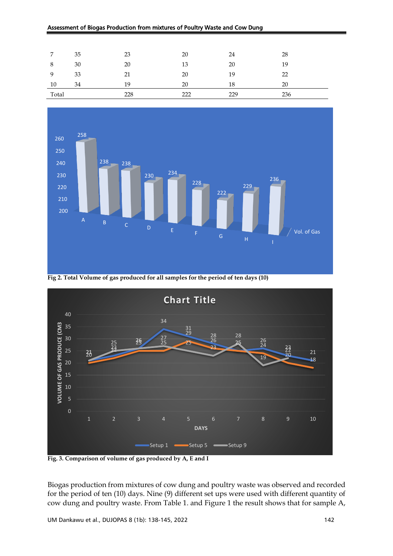#### Assessment of Biogas Production from mixtures of Poultry Waste and Cow Dung

| ⇁     | 35 | 23  | 20  | 24  | 28  |
|-------|----|-----|-----|-----|-----|
|       | 30 | 20  | 13  | 20  | 19  |
|       | 33 | 21  | 20  | 19  | 22  |
| 10    | 34 | 19  | 20  | 18  | 20  |
| Total |    | 228 | 222 | 229 | 236 |



**Fig 2. Total Volume of gas produced for all samples for the period of ten days (10)**



**Fig. 3. Comparison of volume of gas produced by A, E and I**

Biogas production from mixtures of cow dung and poultry waste was observed and recorded for the period of ten (10) days. Nine (9) different set ups were used with different quantity of cow dung and poultry waste. From Table 1. and Figure 1 the result shows that for sample A,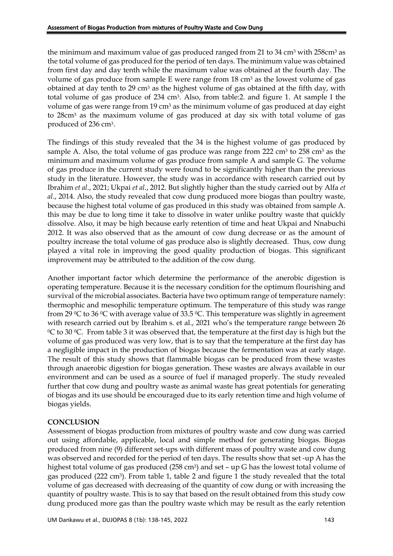the minimum and maximum value of gas produced ranged from 21 to 34 cm<sup>3</sup> with 258cm<sup>3</sup> as the total volume of gas produced for the period of ten days. The minimum value was obtained from first day and day tenth while the maximum value was obtained at the fourth day. The volume of gas produce from sample E were range from 18 cm<sup>3</sup> as the lowest volume of gas obtained at day tenth to 29 cm<sup>3</sup> as the highest volume of gas obtained at the fifth day, with total volume of gas produce of 234 cm3. Also, from table:2. and figure 1. At sample I the volume of gas were range from 19 cm<sup>3</sup> as the minimum volume of gas produced at day eight to 28cm<sup>3</sup> as the maximum volume of gas produced at day six with total volume of gas produced of 236 cm3.

The findings of this study revealed that the 34 is the highest volume of gas produced by sample A. Also, the total volume of gas produce was range from 222 cm<sup>3</sup> to 258 cm<sup>3</sup> as the minimum and maximum volume of gas produce from sample A and sample G. The volume of gas produce in the current study were found to be significantly higher than the previous study in the literature. However, the study was in accordance with research carried out by Ibrahim *et al*., 2021; Ukpai *et al*., 2012. But slightly higher than the study carried out by Alfa *et al*., 2014. Also, the study revealed that cow dung produced more biogas than poultry waste, because the highest total volume of gas produced in this study was obtained from sample A. this may be due to long time it take to dissolve in water unlike poultry waste that quickly dissolve. Also, it may be high because early retention of time and heat Ukpai and Nnabuchi 2012. It was also observed that as the amount of cow dung decrease or as the amount of poultry increase the total volume of gas produce also is slightly decreased. Thus, cow dung played a vital role in improving the good quality production of biogas. This significant improvement may be attributed to the addition of the cow dung.

Another important factor which determine the performance of the anerobic digestion is operating temperature. Because it is the necessary condition for the optimum flourishing and survival of the microbial associates. Bacteria have two optimum range of temperature namely: thermophic and mesophilic temperature optimum. The temperature of this study was range from 29  $\degree$ C to 36  $\degree$ C with average value of 33.5  $\degree$ C. This temperature was slightly in agreement with research carried out by Ibrahim s. et al., 2021 who's the temperature range between 26  $\rm{O}^{\circ}$  to 30  $\rm{O}^{\circ}$ . From table 3 it was observed that, the temperature at the first day is high but the volume of gas produced was very low, that is to say that the temperature at the first day has a negligible impact in the production of biogas because the fermentation was at early stage. The result of this study shows that flammable biogas can be produced from these wastes through anaerobic digestion for biogas generation. These wastes are always available in our environment and can be used as a source of fuel if managed properly. The study revealed further that cow dung and poultry waste as animal waste has great potentials for generating of biogas and its use should be encouraged due to its early retention time and high volume of biogas yields.

# **CONCLUSION**

Assessment of biogas production from mixtures of poultry waste and cow dung was carried out using affordable, applicable, local and simple method for generating biogas. Biogas produced from nine (9) different set-ups with different mass of poultry waste and cow dung was observed and recorded for the period of ten days. The results show that set -up A has the highest total volume of gas produced (258 cm<sup>3</sup>) and set - up G has the lowest total volume of gas produced (222 cm<sup>3</sup>). From table 1, table 2 and figure 1 the study revealed that the total volume of gas decreased with decreasing of the quantity of cow dung or with increasing the quantity of poultry waste. This is to say that based on the result obtained from this study cow dung produced more gas than the poultry waste which may be result as the early retention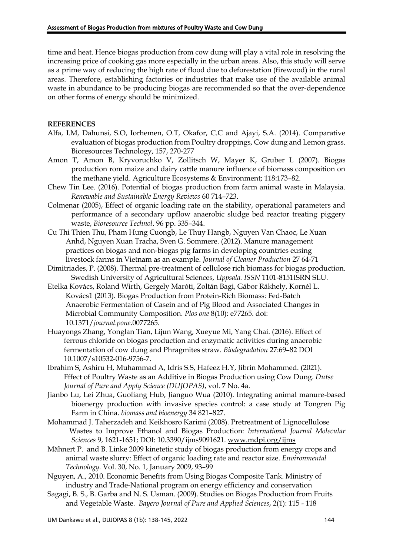time and heat. Hence biogas production from cow dung will play a vital role in resolving the increasing price of cooking gas more especially in the urban areas. Also, this study will serve as a prime way of reducing the high rate of flood due to deforestation (firewood) in the rural areas. Therefore, establishing factories or industries that make use of the available animal waste in abundance to be producing biogas are recommended so that the over-dependence on other forms of energy should be minimized.

#### **REFERENCES**

- Alfa, I.M, Dahunsi, S.O, Iorhemen, O.T, Okafor, C.C and Ajayi, S.A. (2014). Comparative evaluation of biogas production from Poultry droppings, Cow dung and Lemon grass. Bioresources Technology, 157, 270-277
- Amon T, Amon B, Kryvoruchko V, Zollitsch W, Mayer K, Gruber L (2007). Biogas production rom maize and dairy cattle manure influence of biomass composition on the methane yield. Agriculture Ecosystems & Environment; 118:173–82.
- Chew Tin Lee. (2016). Potential of biogas production from farm animal waste in Malaysia. *Renewable and Sustainable Energy Reviews* 60 714–723.
- Colmenar (2005), Effect of organic loading rate on the stability, operational parameters and performance of a secondary upflow anaerobic sludge bed reactor treating piggery waste, *Bioresource Technol*. 96 pp. 335–344.
- Cu Thi Thien Thu, Pham Hung Cuongb, Le Thuy Hangb, Nguyen Van Chaoc, Le Xuan Anhd, Nguyen Xuan Tracha, Sven G. Sommere. (2012). Manure management practices on biogas and non-biogas pig farms in developing countries eusing livestock farms in Vietnam as an example. *Journal of Cleaner Production* 27 64-71
- Dimitriades, P. (2008). Thermal pre-treatment of cellulose rich biomass for biogas production. Swedish University of Agricultural Sciences, *Uppsala. ISSN* 1101-8151ISRN SLU.
- Etelka Kovács, Roland Wirth, Gergely Maróti, Zoltán Bagi, Gábor Rákhely, Kornél L. Kovács1 (2013). Biogas Production from Protein-Rich Biomass: Fed-Batch Anaerobic Fermentation of Casein and of Pig Blood and Associated Changes in Microbial Community Composition. *Plos one* 8(10): e77265. doi: 10.1371/*journal.pone*.0077265.
- Huayongs Zhang, Yonglan Tian, Lijun Wang, Xueyue Mi, Yang Chai. (2016). Effect of ferrous chloride on biogas production and enzymatic activities during anaerobic fermentation of cow dung and Phragmites straw. *Biodegradation* 27:69–82 DOI 10.1007/s10532-016-9756-7.
- Ibrahim S, Ashiru H, Muhammad A, Idris S.S, Hafeez H.Y, Jibrin Mohammed. (2021). Fffect of Poultry Waste as an Additive in Biogas Production using Cow Dung. *Dutse Journal of Pure and Apply Science (DUJOPAS)*, vol. 7 No. 4a.
- Jianbo Lu, Lei Zhua, Guoliang Hub, Jianguo Wua (2010). Integrating animal manure-based bioenergy production with invasive species control: a case study at Tongren Pig Farm in China. *biomass and bioenergy* 34 821–827.
- Mohammad J. Taherzadeh and Keikhosro Karimi (2008). Pretreatment of Lignocellulose Wastes to Improve Ethanol and Biogas Production: *International Journal Molecular Sciences* 9, 1621-1651; DOI: 10.3390/ijms9091621. [www.mdpi.org/ijms](http://www.mdpi.org/ijms)
- Mähnert P. and B. Linke 2009 kinetetic study of biogas production from energy crops and animal waste slurry: Effect of organic loading rate and reactor size. *Environmental Technology.* Vol. 30, No. 1, January 2009, 93–99
- Nguyen, A., 2010. Economic Benefits from Using Biogas Composite Tank. Ministry of industry and Trade-National program on energy efficiency and conservation
- Sagagi, B. S., B. Garba and N. S. Usman. (2009). Studies on Biogas Production from Fruits and Vegetable Waste. *Bayero Journal of Pure and Applied Sciences*, 2(1): 115 - 118